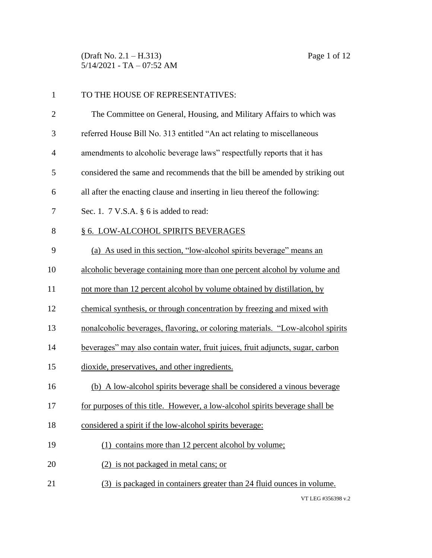(Draft No. 2.1 – H.313) Page 1 of 12 5/14/2021 - TA – 07:52 AM

| $\mathbf{1}$   | TO THE HOUSE OF REPRESENTATIVES:                                               |
|----------------|--------------------------------------------------------------------------------|
| $\overline{2}$ | The Committee on General, Housing, and Military Affairs to which was           |
| 3              | referred House Bill No. 313 entitled "An act relating to miscellaneous         |
| $\overline{4}$ | amendments to alcoholic beverage laws" respectfully reports that it has        |
| 5              | considered the same and recommends that the bill be amended by striking out    |
| 6              | all after the enacting clause and inserting in lieu thereof the following:     |
| 7              | Sec. 1. 7 V.S.A. § 6 is added to read:                                         |
| 8              | § 6. LOW-ALCOHOL SPIRITS BEVERAGES                                             |
| 9              | (a) As used in this section, "low-alcohol spirits beverage" means an           |
| 10             | alcoholic beverage containing more than one percent alcohol by volume and      |
| 11             | not more than 12 percent alcohol by volume obtained by distillation, by        |
| 12             | chemical synthesis, or through concentration by freezing and mixed with        |
| 13             | nonalcoholic beverages, flavoring, or coloring materials. "Low-alcohol spirits |
| 14             | beverages" may also contain water, fruit juices, fruit adjuncts, sugar, carbon |
| 15             | dioxide, preservatives, and other ingredients.                                 |
| 16             | (b) A low-alcohol spirits beverage shall be considered a vinous beverage       |
| 17             | for purposes of this title. However, a low-alcohol spirits beverage shall be   |
| 18             | considered a spirit if the low-alcohol spirits beverage:                       |
| 19             | (1) contains more than 12 percent alcohol by volume;                           |
| 20             | (2) is not packaged in metal cans; or                                          |
| 21             | (3) is packaged in containers greater than 24 fluid ounces in volume.          |
|                | VT LEG #356308 $v$ 2                                                           |

VT LEG #356398 v.2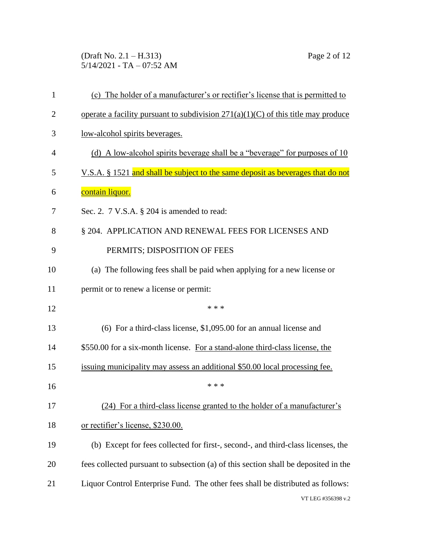(Draft No. 2.1 – H.313) Page 2 of 12 5/14/2021 - TA – 07:52 AM

| $\mathbf{1}$   | (c) The holder of a manufacturer's or rectifier's license that is permitted to      |  |
|----------------|-------------------------------------------------------------------------------------|--|
| $\overline{2}$ | operate a facility pursuant to subdivision $271(a)(1)(C)$ of this title may produce |  |
| 3              | low-alcohol spirits beverages.                                                      |  |
| 4              | (d) A low-alcohol spirits beverage shall be a "beverage" for purposes of 10         |  |
| 5              | V.S.A. § 1521 and shall be subject to the same deposit as beverages that do not     |  |
| 6              | <u>contain liquor.</u>                                                              |  |
| 7              | Sec. 2. $7$ V.S.A. $\S$ 204 is amended to read:                                     |  |
| 8              | § 204. APPLICATION AND RENEWAL FEES FOR LICENSES AND                                |  |
| 9              | PERMITS; DISPOSITION OF FEES                                                        |  |
| 10             | (a) The following fees shall be paid when applying for a new license or             |  |
| 11             | permit or to renew a license or permit:                                             |  |
| 12             | * * *                                                                               |  |
| 13             | $(6)$ For a third-class license, \$1,095.00 for an annual license and               |  |
| 14             | \$550.00 for a six-month license. For a stand-alone third-class license, the        |  |
| 15             | issuing municipality may assess an additional \$50.00 local processing fee.         |  |
| 16             | * * *                                                                               |  |
| 17             | (24) For a third-class license granted to the holder of a manufacturer's            |  |
| 18             | or rectifier's license, \$230.00.                                                   |  |
| 19             | (b) Except for fees collected for first-, second-, and third-class licenses, the    |  |
| 20             | fees collected pursuant to subsection (a) of this section shall be deposited in the |  |
| 21             | Liquor Control Enterprise Fund. The other fees shall be distributed as follows:     |  |
|                | VT LEG #356398 v.2                                                                  |  |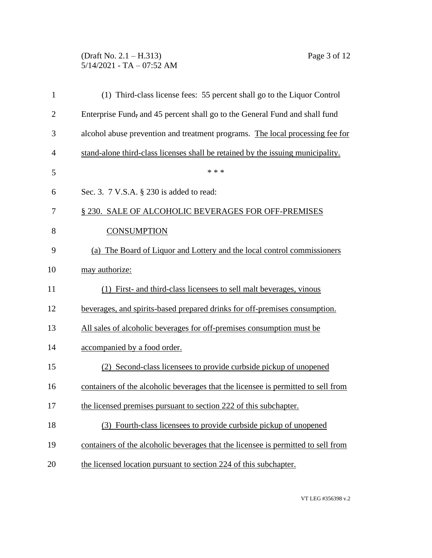# (Draft No. 2.1 – H.313) Page 3 of 12 5/14/2021 - TA – 07:52 AM

| 1              | (1) Third-class license fees: 55 percent shall go to the Liquor Control           |  |  |  |
|----------------|-----------------------------------------------------------------------------------|--|--|--|
| $\overline{2}$ | Enterprise Fund, and 45 percent shall go to the General Fund and shall fund       |  |  |  |
| 3              | alcohol abuse prevention and treatment programs. The local processing fee for     |  |  |  |
| $\overline{4}$ | stand-alone third-class licenses shall be retained by the issuing municipality.   |  |  |  |
| 5              | * * *                                                                             |  |  |  |
| 6              | Sec. 3. 7 V.S.A. § 230 is added to read:                                          |  |  |  |
| 7              | § 230. SALE OF ALCOHOLIC BEVERAGES FOR OFF-PREMISES                               |  |  |  |
| 8              | <b>CONSUMPTION</b>                                                                |  |  |  |
| 9              | (a) The Board of Liquor and Lottery and the local control commissioners           |  |  |  |
| 10             | may authorize:                                                                    |  |  |  |
| 11             | (1) First- and third-class licensees to sell malt beverages, vinous               |  |  |  |
| 12             | beverages, and spirits-based prepared drinks for off-premises consumption.        |  |  |  |
| 13             | All sales of alcoholic beverages for off-premises consumption must be             |  |  |  |
| 14             | accompanied by a food order.                                                      |  |  |  |
| 15             | Second-class licensees to provide curbside pickup of unopened                     |  |  |  |
| 16             | containers of the alcoholic beverages that the licensee is permitted to sell from |  |  |  |
| 17             | the licensed premises pursuant to section 222 of this subchapter.                 |  |  |  |
| 18             | (3) Fourth-class licensees to provide curbside pickup of unopened                 |  |  |  |
| 19             | containers of the alcoholic beverages that the licensee is permitted to sell from |  |  |  |
| 20             | the licensed location pursuant to section 224 of this subchapter.                 |  |  |  |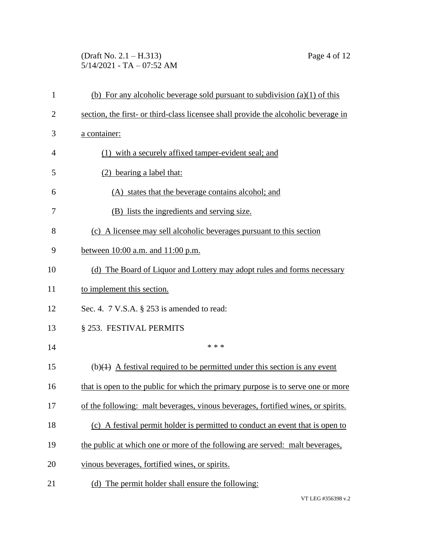# (Draft No. 2.1 – H.313) Page 4 of 12 5/14/2021 - TA – 07:52 AM

| $\mathbf{1}$   | (b) For any alcoholic beverage sold pursuant to subdivision $(a)(1)$ of this              |  |
|----------------|-------------------------------------------------------------------------------------------|--|
| $\overline{2}$ | section, the first- or third-class licensee shall provide the alcoholic beverage in       |  |
| 3              | a container:                                                                              |  |
| 4              | (1) with a securely affixed tamper-evident seal; and                                      |  |
| 5              | (2) bearing a label that:                                                                 |  |
| 6              | (A) states that the beverage contains alcohol; and                                        |  |
| 7              | (B) lists the ingredients and serving size.                                               |  |
| 8              | (c) A licensee may sell alcoholic beverages pursuant to this section                      |  |
| 9              | between $10:00$ a.m. and $11:00$ p.m.                                                     |  |
| 10             | (d) The Board of Liquor and Lottery may adopt rules and forms necessary                   |  |
| 11             | to implement this section.                                                                |  |
| 12             | Sec. 4. $7 \text{ V.S.A. }$ § 253 is amended to read:                                     |  |
| 13             | § 253. FESTIVAL PERMITS                                                                   |  |
| 14             | * * *                                                                                     |  |
| 15             | (b) $\left( +\right)$ A festival required to be permitted under this section is any event |  |
| 16             | that is open to the public for which the primary purpose is to serve one or more          |  |
| 17             | of the following: malt beverages, vinous beverages, fortified wines, or spirits.          |  |
| 18             | (c) A festival permit holder is permitted to conduct an event that is open to             |  |
| 19             | the public at which one or more of the following are served: malt beverages,              |  |
| 20             | vinous beverages, fortified wines, or spirits.                                            |  |
| 21             | (d) The permit holder shall ensure the following:                                         |  |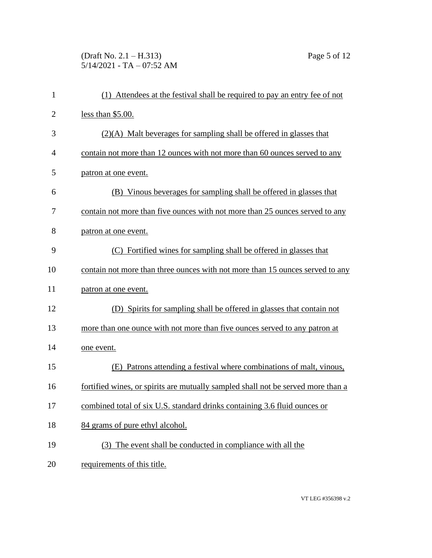# (Draft No. 2.1 – H.313) Page 5 of 12 5/14/2021 - TA – 07:52 AM

| $\mathbf{1}$   | (1) Attendees at the festival shall be required to pay an entry fee of not       |
|----------------|----------------------------------------------------------------------------------|
| $\overline{2}$ | less than $$5.00$ .                                                              |
| 3              | $(2)(A)$ Malt beverages for sampling shall be offered in glasses that            |
| $\overline{4}$ | contain not more than 12 ounces with not more than 60 ounces served to any       |
| 5              | patron at one event.                                                             |
| 6              | (B) Vinous beverages for sampling shall be offered in glasses that               |
| 7              | contain not more than five ounces with not more than 25 ounces served to any     |
| 8              | patron at one event.                                                             |
| 9              | (C) Fortified wines for sampling shall be offered in glasses that                |
| 10             | contain not more than three ounces with not more than 15 ounces served to any    |
| 11             | patron at one event.                                                             |
| 12             | (D) Spirits for sampling shall be offered in glasses that contain not            |
| 13             | more than one ounce with not more than five ounces served to any patron at       |
| 14             | one event.                                                                       |
| 15             | (E) Patrons attending a festival where combinations of malt, vinous,             |
| 16             | fortified wines, or spirits are mutually sampled shall not be served more than a |
| 17             | combined total of six U.S. standard drinks containing 3.6 fluid ounces or        |
| 18             | 84 grams of pure ethyl alcohol.                                                  |
| 19             | (3) The event shall be conducted in compliance with all the                      |
| 20             | requirements of this title.                                                      |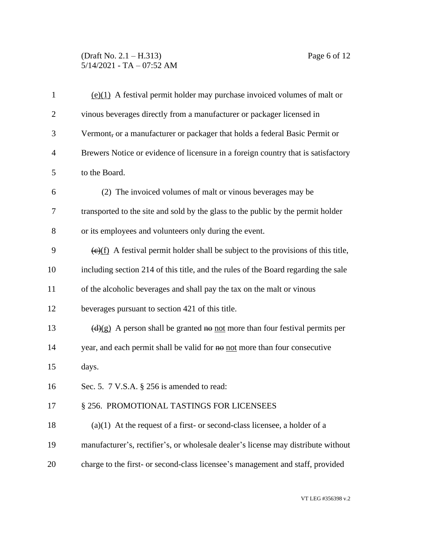## (Draft No. 2.1 – H.313) Page 6 of 12  $5/14/2021$  - TA – 07:52 AM

| $\mathbf{1}$   | $(e)(1)$ A festival permit holder may purchase invoiced volumes of malt or                      |  |
|----------------|-------------------------------------------------------------------------------------------------|--|
| $\overline{2}$ | vinous beverages directly from a manufacturer or packager licensed in                           |  |
| 3              | Vermont, or a manufacturer or packager that holds a federal Basic Permit or                     |  |
| $\overline{4}$ | Brewers Notice or evidence of licensure in a foreign country that is satisfactory               |  |
| 5              | to the Board.                                                                                   |  |
| 6              | (2) The invoiced volumes of malt or vinous beverages may be                                     |  |
| 7              | transported to the site and sold by the glass to the public by the permit holder                |  |
| 8              | or its employees and volunteers only during the event.                                          |  |
| 9              | $\overline{(e)(f)}$ A festival permit holder shall be subject to the provisions of this title,  |  |
| 10             | including section 214 of this title, and the rules of the Board regarding the sale              |  |
| 11             | of the alcoholic beverages and shall pay the tax on the malt or vinous                          |  |
| 12             | beverages pursuant to section 421 of this title.                                                |  |
| 13             | $\left(\frac{d}{g}\right)$ A person shall be granted no not more than four festival permits per |  |
| 14             | year, and each permit shall be valid for no not more than four consecutive                      |  |
| 15             | days.                                                                                           |  |
| 16             | Sec. 5. 7 V.S.A. § 256 is amended to read:                                                      |  |
| 17             | § 256. PROMOTIONAL TASTINGS FOR LICENSEES                                                       |  |
| 18             | $(a)(1)$ At the request of a first- or second-class licensee, a holder of a                     |  |
| 19             | manufacturer's, rectifier's, or wholesale dealer's license may distribute without               |  |
| 20             | charge to the first- or second-class licensee's management and staff, provided                  |  |
|                |                                                                                                 |  |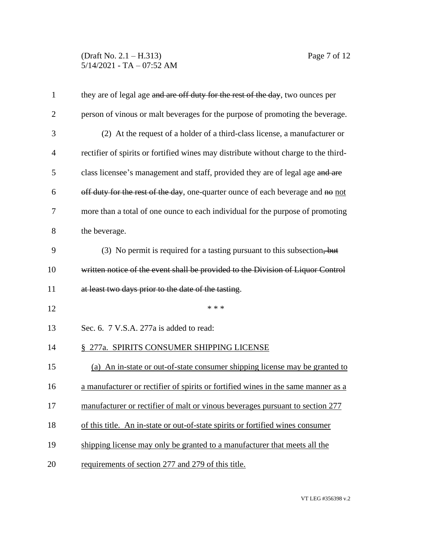## (Draft No. 2.1 – H.313) Page 7 of 12 5/14/2021 - TA – 07:52 AM

| $\mathbf{1}$   | they are of legal age and are off duty for the rest of the day, two ounces per      |  |  |
|----------------|-------------------------------------------------------------------------------------|--|--|
| $\overline{2}$ | person of vinous or malt beverages for the purpose of promoting the beverage.       |  |  |
| 3              | (2) At the request of a holder of a third-class license, a manufacturer or          |  |  |
| $\overline{4}$ | rectifier of spirits or fortified wines may distribute without charge to the third- |  |  |
| 5              | class licensee's management and staff, provided they are of legal age and are       |  |  |
| 6              | off duty for the rest of the day, one-quarter ounce of each beverage and no not     |  |  |
| 7              | more than a total of one ounce to each individual for the purpose of promoting      |  |  |
| 8              | the beverage.                                                                       |  |  |
| 9              | (3) No permit is required for a tasting pursuant to this subsection, but            |  |  |
| 10             | written notice of the event shall be provided to the Division of Liquor Control     |  |  |
| 11             | at least two days prior to the date of the tasting.                                 |  |  |
| 12             | * * *                                                                               |  |  |
| 13             | Sec. 6. 7 V.S.A. 277a is added to read:                                             |  |  |
| 14             | § 277a. SPIRITS CONSUMER SHIPPING LICENSE                                           |  |  |
| 15             | (a) An in-state or out-of-state consumer shipping license may be granted to         |  |  |
| 16             | a manufacturer or rectifier of spirits or fortified wines in the same manner as a   |  |  |
| 17             | manufacturer or rectifier of malt or vinous beverages pursuant to section 277       |  |  |
| 18             | of this title. An in-state or out-of-state spirits or fortified wines consumer      |  |  |
| 19             | shipping license may only be granted to a manufacturer that meets all the           |  |  |
| 20             | requirements of section 277 and 279 of this title.                                  |  |  |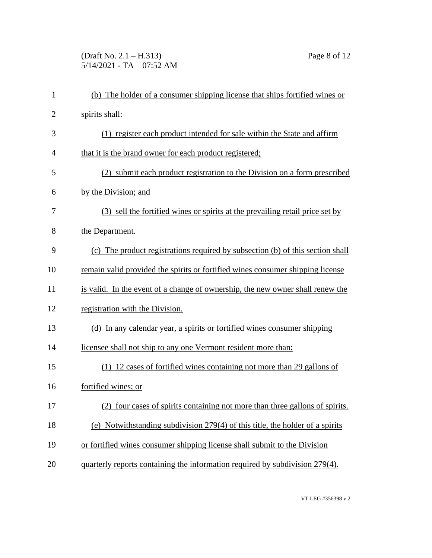# (Draft No. 2.1 – H.313) Page 8 of 12  $5/14/2021$  - TA – 07:52 AM

| $\mathbf{1}$   | (b) The holder of a consumer shipping license that ships fortified wines or    |
|----------------|--------------------------------------------------------------------------------|
| $\overline{2}$ | spirits shall:                                                                 |
| 3              | (1) register each product intended for sale within the State and affirm        |
| $\overline{4}$ | that it is the brand owner for each product registered;                        |
| 5              | (2) submit each product registration to the Division on a form prescribed      |
| 6              | by the Division; and                                                           |
| 7              | (3) sell the fortified wines or spirits at the prevailing retail price set by  |
| 8              | the Department.                                                                |
| 9              | (c) The product registrations required by subsection (b) of this section shall |
| 10             | remain valid provided the spirits or fortified wines consumer shipping license |
| 11             | is valid. In the event of a change of ownership, the new owner shall renew the |
| 12             | registration with the Division.                                                |
| 13             | (d) In any calendar year, a spirits or fortified wines consumer shipping       |
| 14             | licensee shall not ship to any one Vermont resident more than:                 |
| 15             | (1) 12 cases of fortified wines containing not more than 29 gallons of         |
| 16             | fortified wines; or                                                            |
| 17             | (2) four cases of spirits containing not more than three gallons of spirits.   |
| 18             | (e) Notwithstanding subdivision 279(4) of this title, the holder of a spirits  |
| 19             | or fortified wines consumer shipping license shall submit to the Division      |
| 20             | quarterly reports containing the information required by subdivision 279(4).   |
|                |                                                                                |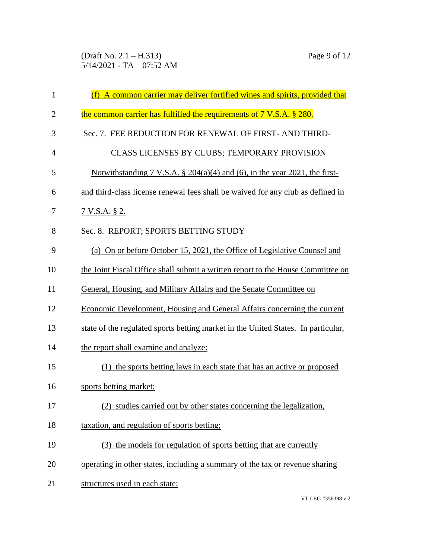(Draft No. 2.1 – H.313) Page 9 of 12 5/14/2021 - TA – 07:52 AM

| $\mathbf{1}$   | (f) A common carrier may deliver fortified wines and spirits, provided that       |
|----------------|-----------------------------------------------------------------------------------|
| $\overline{2}$ | the common carrier has fulfilled the requirements of 7 V.S.A. § 280.              |
| 3              | Sec. 7. FEE REDUCTION FOR RENEWAL OF FIRST- AND THIRD-                            |
| $\overline{4}$ | CLASS LICENSES BY CLUBS; TEMPORARY PROVISION                                      |
| 5              | Notwithstanding 7 V.S.A. $\S$ 204(a)(4) and (6), in the year 2021, the first-     |
| 6              | and third-class license renewal fees shall be waived for any club as defined in   |
| 7              | <u>7 V.S.A. § 2.</u>                                                              |
| 8              | Sec. 8. REPORT; SPORTS BETTING STUDY                                              |
| 9              | (a) On or before October 15, 2021, the Office of Legislative Counsel and          |
| 10             | the Joint Fiscal Office shall submit a written report to the House Committee on   |
| 11             | General, Housing, and Military Affairs and the Senate Committee on                |
| 12             | Economic Development, Housing and General Affairs concerning the current          |
| 13             | state of the regulated sports betting market in the United States. In particular, |
| 14             | the report shall examine and analyze:                                             |
| 15             | (1) the sports betting laws in each state that has an active or proposed          |
| 16             | sports betting market;                                                            |
| 17             | (2)<br>studies carried out by other states concerning the legalization.           |
| 18             | taxation, and regulation of sports betting;                                       |
| 19             | (3) the models for regulation of sports betting that are currently                |
| 20             | operating in other states, including a summary of the tax or revenue sharing      |
| 21             | structures used in each state;                                                    |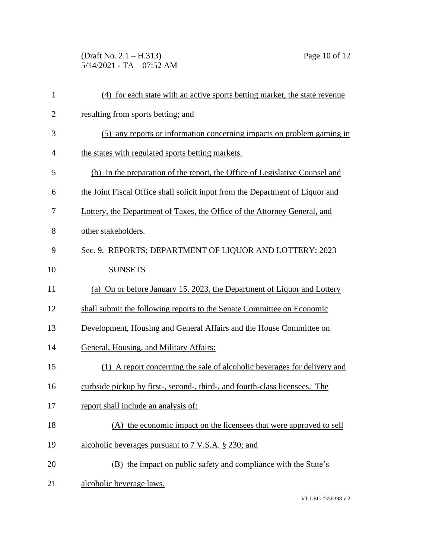(Draft No. 2.1 – H.313) Page 10 of 12 5/14/2021 - TA – 07:52 AM

| $\mathbf{1}$ | (4) for each state with an active sports betting market, the state revenue    |
|--------------|-------------------------------------------------------------------------------|
| $\mathbf{2}$ | resulting from sports betting; and                                            |
| 3            | (5) any reports or information concerning impacts on problem gaming in        |
| 4            | the states with regulated sports betting markets.                             |
| 5            | (b) In the preparation of the report, the Office of Legislative Counsel and   |
| 6            | the Joint Fiscal Office shall solicit input from the Department of Liquor and |
| 7            | Lottery, the Department of Taxes, the Office of the Attorney General, and     |
| 8            | other stakeholders.                                                           |
| 9            | Sec. 9. REPORTS; DEPARTMENT OF LIQUOR AND LOTTERY; 2023                       |
| 10           | <b>SUNSETS</b>                                                                |
| 11           | (a) On or before January 15, 2023, the Department of Liquor and Lottery       |
| 12           | shall submit the following reports to the Senate Committee on Economic        |
| 13           | Development, Housing and General Affairs and the House Committee on           |
| 14           | General, Housing, and Military Affairs:                                       |
| 15           | (1) A report concerning the sale of alcoholic beverages for delivery and      |
| 16           | curbside pickup by first-, second-, third-, and fourth-class licensees. The   |
| 17           | report shall include an analysis of:                                          |
| 18           | (A) the economic impact on the licensees that were approved to sell           |
| 19           | alcoholic beverages pursuant to 7 V.S.A. § 230; and                           |
| 20           | (B) the impact on public safety and compliance with the State's               |
| 21           | alcoholic beverage laws.                                                      |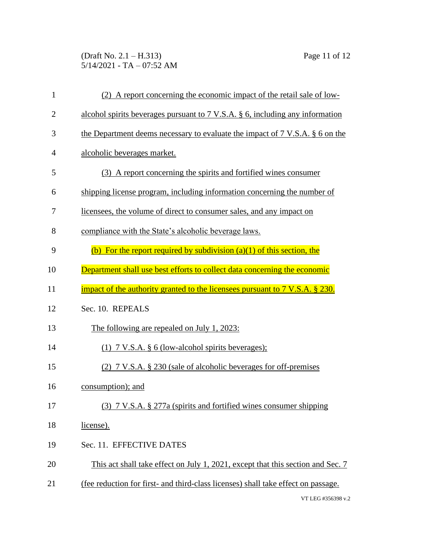(Draft No. 2.1 – H.313) Page 11 of 12 5/14/2021 - TA – 07:52 AM

| $\mathbf{1}$   | (2) A report concerning the economic impact of the retail sale of low-                    |  |  |
|----------------|-------------------------------------------------------------------------------------------|--|--|
| $\overline{2}$ | alcohol spirits beverages pursuant to $7 \text{ V.S.A. }$ \$ 6, including any information |  |  |
| 3              | the Department deems necessary to evaluate the impact of 7 V.S.A. § 6 on the              |  |  |
| $\overline{4}$ | alcoholic beverages market.                                                               |  |  |
| 5              | (3) A report concerning the spirits and fortified wines consumer                          |  |  |
| 6              | shipping license program, including information concerning the number of                  |  |  |
| 7              | licensees, the volume of direct to consumer sales, and any impact on                      |  |  |
| 8              | compliance with the State's alcoholic beverage laws.                                      |  |  |
| 9              | (b) For the report required by subdivision $(a)(1)$ of this section, the                  |  |  |
| 10             | Department shall use best efforts to collect data concerning the economic                 |  |  |
| 11             | impact of the authority granted to the licensees pursuant to 7 V.S.A. § 230.              |  |  |
| 12             | Sec. 10. REPEALS                                                                          |  |  |
| 13             | The following are repealed on July 1, 2023:                                               |  |  |
| 14             | $(1)$ 7 V.S.A. § 6 (low-alcohol spirits beverages);                                       |  |  |
| 15             | (2) 7 V.S.A. § 230 (sale of alcoholic beverages for off-premises                          |  |  |
| 16             | consumption); and                                                                         |  |  |
| 17             | $(3)$ 7 V.S.A. § 277a (spirits and fortified wines consumer shipping                      |  |  |
| 18             | license).                                                                                 |  |  |
| 19             | Sec. 11. EFFECTIVE DATES                                                                  |  |  |
| 20             | This act shall take effect on July 1, 2021, except that this section and Sec. 7           |  |  |
| 21             | (fee reduction for first- and third-class licenses) shall take effect on passage.         |  |  |
|                | VT LEG #356398 v.2                                                                        |  |  |